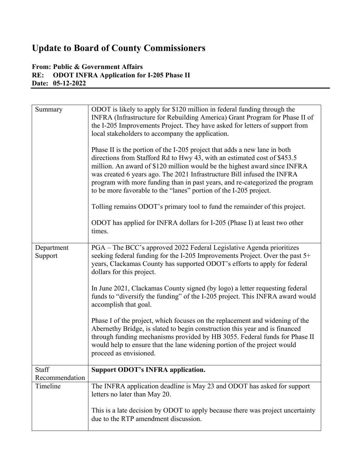# **Update to Board of County Commissioners**

# **From: Public & Government Affairs<br>RE: ODOT INFRA Application for RE: ODOT INFRA Application for I-205 Phase II Date: 05-12-2022**

| Summary                 | ODOT is likely to apply for \$120 million in federal funding through the<br>INFRA (Infrastructure for Rebuilding America) Grant Program for Phase II of<br>the I-205 Improvements Project. They have asked for letters of support from<br>local stakeholders to accompany the application.<br>Phase II is the portion of the I-205 project that adds a new lane in both<br>directions from Stafford Rd to Hwy 43, with an estimated cost of \$453.5<br>million. An award of \$120 million would be the highest award since INFRA<br>was created 6 years ago. The 2021 Infrastructure Bill infused the INFRA<br>program with more funding than in past years, and re-categorized the program<br>to be more favorable to the "lanes" portion of the I-205 project.<br>Tolling remains ODOT's primary tool to fund the remainder of this project.<br>ODOT has applied for INFRA dollars for I-205 (Phase I) at least two other<br>times. |
|-------------------------|---------------------------------------------------------------------------------------------------------------------------------------------------------------------------------------------------------------------------------------------------------------------------------------------------------------------------------------------------------------------------------------------------------------------------------------------------------------------------------------------------------------------------------------------------------------------------------------------------------------------------------------------------------------------------------------------------------------------------------------------------------------------------------------------------------------------------------------------------------------------------------------------------------------------------------------|
| Department<br>Support   | PGA - The BCC's approved 2022 Federal Legislative Agenda prioritizes<br>seeking federal funding for the I-205 Improvements Project. Over the past 5+<br>years, Clackamas County has supported ODOT's efforts to apply for federal<br>dollars for this project.                                                                                                                                                                                                                                                                                                                                                                                                                                                                                                                                                                                                                                                                        |
|                         | In June 2021, Clackamas County signed (by logo) a letter requesting federal<br>funds to "diversify the funding" of the I-205 project. This INFRA award would<br>accomplish that goal.                                                                                                                                                                                                                                                                                                                                                                                                                                                                                                                                                                                                                                                                                                                                                 |
|                         | Phase I of the project, which focuses on the replacement and widening of the<br>Abernethy Bridge, is slated to begin construction this year and is financed<br>through funding mechanisms provided by HB 3055. Federal funds for Phase II<br>would help to ensure that the lane widening portion of the project would<br>proceed as envisioned.                                                                                                                                                                                                                                                                                                                                                                                                                                                                                                                                                                                       |
| Staff<br>Recommendation | <b>Support ODOT's INFRA application.</b>                                                                                                                                                                                                                                                                                                                                                                                                                                                                                                                                                                                                                                                                                                                                                                                                                                                                                              |
| Timeline                | The INFRA application deadline is May 23 and ODOT has asked for support                                                                                                                                                                                                                                                                                                                                                                                                                                                                                                                                                                                                                                                                                                                                                                                                                                                               |
|                         | letters no later than May 20.                                                                                                                                                                                                                                                                                                                                                                                                                                                                                                                                                                                                                                                                                                                                                                                                                                                                                                         |
|                         | This is a late decision by ODOT to apply because there was project uncertainty<br>due to the RTP amendment discussion.                                                                                                                                                                                                                                                                                                                                                                                                                                                                                                                                                                                                                                                                                                                                                                                                                |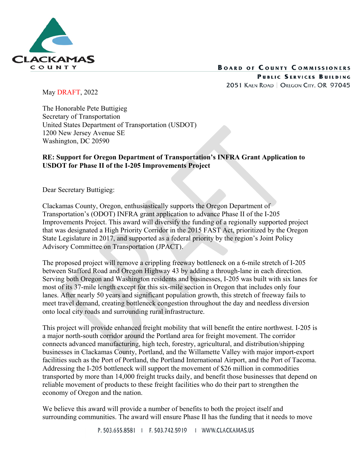

# **BOARD OF COUNTY COMMISSIONERS**

PUBLIC SERVICES BUILDING 2051 KAEN ROAD | OREGON CITY, OR 97045

May DRAFT, 2022

The Honorable Pete Buttigieg Secretary of Transportation United States Department of Transportation (USDOT) 1200 New Jersey Avenue SE Washington, DC 20590

## **RE: Support for Oregon Department of Transportation's INFRA Grant Application to USDOT for Phase II of the I‐205 Improvements Project**

Dear Secretary Buttigieg:

Clackamas County, Oregon, enthusiastically supports the Oregon Department of Transportation's (ODOT) INFRA grant application to advance Phase II of the I-205 Improvements Project. This award will diversify the funding of a regionally supported project that was designated a High Priority Corridor in the 2015 FAST Act, prioritized by the Oregon State Legislature in 2017, and supported as a federal priority by the region's Joint Policy Advisory Committee on Transportation (JPACT).

The proposed project will remove a crippling freeway bottleneck on a 6-mile stretch of I-205 between Stafford Road and Oregon Highway 43 by adding a through-lane in each direction. Serving both Oregon and Washington residents and businesses, I-205 was built with six lanes for most of its 37-mile length except for this six-mile section in Oregon that includes only four lanes. After nearly 50 years and significant population growth, this stretch of freeway fails to meet travel demand, creating bottleneck congestion throughout the day and needless diversion onto local city roads and surrounding rural infrastructure.

This project will provide enhanced freight mobility that will benefit the entire northwest. I-205 is a major north-south corridor around the Portland area for freight movement. The corridor connects advanced manufacturing, high tech, forestry, agricultural, and distribution/shipping businesses in Clackamas County, Portland, and the Willamette Valley with major import-export facilities such as the Port of Portland, the Portland International Airport, and the Port of Tacoma. Addressing the I-205 bottleneck will support the movement of \$26 million in commodities transported by more than 14,000 freight trucks daily, and benefit those businesses that depend on reliable movement of products to these freight facilities who do their part to strengthen the economy of Oregon and the nation.

We believe this award will provide a number of benefits to both the project itself and surrounding communities. The award will ensure Phase II has the funding that it needs to move

P. 503.655.8581 | F. 503.742.5919 | WWW.CLACKAMAS.US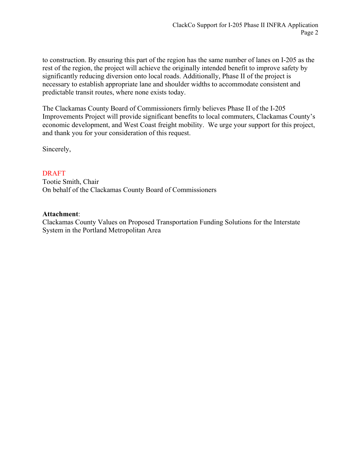to construction. By ensuring this part of the region has the same number of lanes on I-205 as the rest of the region, the project will achieve the originally intended benefit to improve safety by significantly reducing diversion onto local roads. Additionally, Phase II of the project is necessary to establish appropriate lane and shoulder widths to accommodate consistent and predictable transit routes, where none exists today.

The Clackamas County Board of Commissioners firmly believes Phase II of the I-205 Improvements Project will provide significant benefits to local commuters, Clackamas County's economic development, and West Coast freight mobility. We urge your support for this project, and thank you for your consideration of this request.

Sincerely,

## DRAFT

Tootie Smith, Chair On behalf of the Clackamas County Board of Commissioners

### **Attachment**:

Clackamas County Values on Proposed Transportation Funding Solutions for the Interstate System in the Portland Metropolitan Area